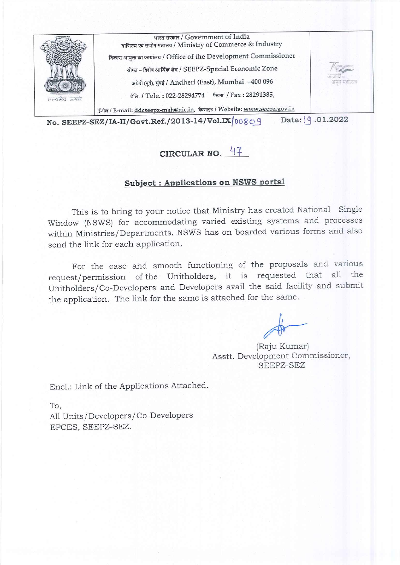

## CIRCULAR NO.  $47$

## **Subject: Applications on NSWS portal**

This is to bring to your notice that Ministry has created National Single Window (NSWS) for accommodating varied existing systems and processes within Ministries/Departments. NSWS has on boarded various forms and also send the link for each application.

For the ease and smooth functioning of the proposals and various request/permission of the Unitholders, it is requested that all the Unitholders/Co-Developers and Developers avail the said facility and submit the application. The link for the same is attached for the same.

(Raju Kumar) Asstt. Development Commissioner, SEEPZ-SEZ

Encl.: Link of the Applications Attached.

To, All Units/Developers/Co-Developers EPCES, SEEPZ-SEZ.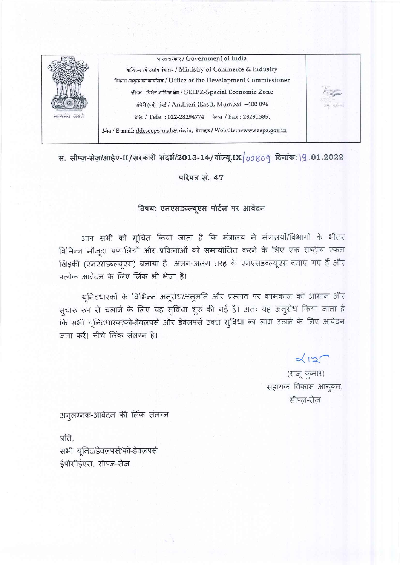

सं. सीप्ज़-सेज़/आईए-II/सरकारी संदर्भ/2013-14/वॉल्यू.IX 00809 दिनांक: 19.01.2022

परिपत्र सं. 47

## विषय: एनएसडब्ल्यूएस पोर्टल पर आवेदन

आप सभी को सूचित किया जाता है कि मंत्रालय ने मंत्रालयों/विभागों के भीतर विभिन्न मौजूदा प्रणालियों और प्रक्रियाओं को समायोजित करने के लिए एक राष्ट्रीय एकल खिड़की (एनएसडब्ल्यूएस) बनाया है। अलग-अलग तरह के एनएसडब्ल्यूएस बनाए गए हैं और प्रत्येक आवेदन के लिए लिंक भी भेजा है।

यूनिटधारकों के विभिन्न अनुरोध/अनुमति और प्रस्ताव पर कामकाज को आसान और सुचारू रूप से चलाने के लिए यह सुविधा शुरू की गई है। अतः यह अनुरोध किया जाता है कि सभी यूनिटधारक/को-डेवलपर्स और डेवलपर्स उक्त सुविधा का लाभ उठाने के लिए आवेदन जमा करें। नीचे लिंक संलग्न है।

> $\alpha$  $12$ (राजू कुमार) सहायक विकास आयुक्त, सीप्ज़-सेज़

अनुलग्नक-आवेदन की लिंक संलग्न

प्रति. सभी यूनिट/डेवलपर्स/को-डेवलपर्स ईपीसीईएस, सीप्ज़-सेज़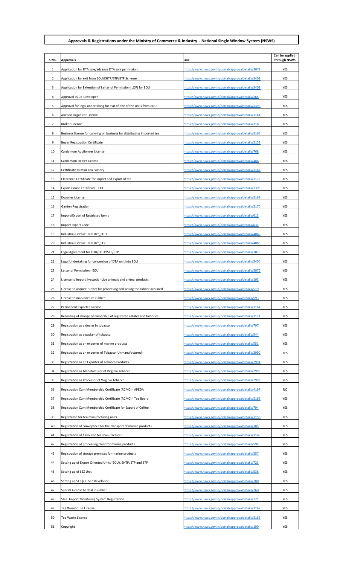## **Approvals & Registrations under the Ministry of Commerce & Industry - National Single Window System (NSWS)**

| S.No.          | Approvals                                                                | Link                                                | Can be applied<br>through NSWS |
|----------------|--------------------------------------------------------------------------|-----------------------------------------------------|--------------------------------|
| 1              | Application for DTA sale/advance DTA sale permission                     | https://www.nsws.gov.in/portal/approvaldetails/3073 | YES                            |
| 2              | Application for exit from EOU/EHTP/STP/BTP Scheme                        | https://www.nsws.gov.in/portal/approvaldetails/3401 | YES                            |
| 3              | Application for Extension of Letter of Permission (LOP) for EOU          | https://www.nsws.gov.in/portal/approvaldetails/3402 | YES                            |
| 4              | Approval as Co-Developer                                                 | https://www.nsws.gov.in/portal/approvaldetails/265  | YES                            |
| 5              | Approval for legal undertaking for exit of one of the units from EOU     | https://www.nsws.gov.in/portal/approvaldetails/3399 | YES                            |
| 6              | Auction Organizer License                                                | https://www.nsws.gov.in/portal/approvaldetails/3161 | YES                            |
| $\overline{7}$ | Broker License                                                           | https://www.nsws.gov.in/portal/approvaldetails/3160 | YES                            |
| 8              | Business license for carrying on business for distributing imported tea  | https://www.nsws.gov.in/portal/approvaldetails/3165 | YES                            |
| 9              | <b>Buyer Registration Certificate</b>                                    | https://www.nsws.gov.in/portal/approvaldetails/3159 | YES                            |
| 10             | Cardamom Auctioneer License                                              | https://www.nsws.gov.in/portal/approvaldetails/768  | YES                            |
| 11             | Cardamom Dealer License                                                  | https://www.nsws.gov.in/portal/approvaldetails/488  | YES                            |
| 12             | Certificate to Mini Tea Factory                                          | https://www.nsws.gov.in/portal/approvaldetails/3162 | YES                            |
| 13             | Clearance Certificate for import and export of tea                       | https://www.nsws.gov.in/portal/approvaldetails/3172 | YES                            |
| 14             | Export House Certificate - EOU                                           | https://www.nsws.gov.in/portal/approvaldetails/3398 | YES                            |
| 15             | Exporter License                                                         | https://www.nsws.gov.in/portal/approvaldetails/3163 | YES                            |
| 16             | Garden Registration                                                      | https://www.nsws.gov.in/portal/approvaldetails/3170 | YES                            |
| 17             | Import/Export of Restricted items                                        | https://www.nsws.gov.in/portal/approvaldetails/613  | YES                            |
| 18             | Import Export Code                                                       | https://www.nsws.gov.in/portal/approvaldetails/631  | YES                            |
| 19             | Industrial License - IDR Act_EOU                                         | https://www.nsws.gov.in/portal/approvaldetails/4065 | YES                            |
| 20             | Industrial License - IDR Act_SEZ                                         | https://www.nsws.gov.in/portal/approvaldetails/4063 | YES                            |
| 21             | Legal Agreement for EOU/EHTP/STP/BTP                                     | https://www.nsws.gov.in/portal/approvaldetails/3075 | YES                            |
| 22             | Legal Undertaking for conversion of DTA unit into EOU                    | https://www.nsws.gov.in/portal/approvaldetails/3400 | YES                            |
| 23             | Letter of Permission - EOU                                               | https://www.nsws.gov.in/portal/approvaldetails/3076 | YES                            |
| 24             | License to import livestock - Live animals and animal products           | https://www.nsws.gov.in/portal/approvaldetails/103  | YES                            |
| 25             | License to acquire rubber for processing and selling the rubber acquired | https://www.nsws.gov.in/portal/approvaldetails/519  | YES                            |
| 26             | License to manufacture rubber                                            | https://www.nsws.gov.in/portal/approvaldetails/593  | YES                            |
| 27             | Permanent Exporter License                                               | https://www.nsws.gov.in/portal/approvaldetails/3164 | YES                            |
| 28             | Recording of change of ownership of registered estates and factories     | https://www.nsws.gov.in/portal/approvaldetails/3171 | YES                            |
| 29             | Registration as a dealer in tobacco                                      | https://www.nsws.gov.in/portal/approvaldetails/797  | YES                            |
| 30             | Registration as a packer of tobacco                                      | https://www.nsws.gov.in/portal/approvaldetails/544  | YES                            |
| 31             | Registration as an exporter of marine products                           | https://www.nsws.gov.in/portal/approvaldetails/551  | YES                            |
| 32             | Registration as an exporter of Tobacco (Unmanufactured)                  | https://www.nsws.gov.in/portal/approvaldetails/2990 | YES                            |
| 33             | Registration as an Exporter of Tobacco Products                          | https://www.nsws.gov.in/portal/approvaldetails/2991 | YES                            |
| 34             | Registration as Manufacturer of Virginia Tobacco                         | https://www.nsws.gov.in/portal/approvaldetails/2993 | YES                            |
| 35             | Registration as Processor of Virginia Tobacco                            | https://www.nsws.gov.in/portal/approvaldetails/2992 | YES                            |
| 36             | Registration Cum Membership Certificate (RCMC) - APEDA                   | https://www.nsws.gov.in/portal/approvaldetails/4197 | NO                             |
| 37             | Registration Cum Membership Certificate (RCMC) - Tea Board               | https://www.nsws.gov.in/portal/approvaldetails/3169 | YES                            |
| 38             | Registration Cum Membership Certificate for Export of Coffee             | https://www.nsws.gov.in/portal/approvaldetails/794  | YES                            |
| 39             | Registraton for tea manufacturing units                                  | https://www.nsws.gov.in/portal/approvaldetails/3158 | YES                            |
| 40             | Registration of conveyance for the transport of marine products          | https://www.nsws.gov.in/portal/approvaldetails/385  | YES                            |
| 41             | Registration of flavoured tea manufacturer                               | https://www.nsws.gov.in/portal/approvaldetails/3168 | YES                            |
| 42             | Registration of processing plant for marine products                     | https://www.nsws.gov.in/portal/approvaldetails/594  | YES                            |
| 43             | Registration of storage premises for marine products                     | https://www.nsws.gov.in/portal/approvaldetails/357  | YES                            |
| 44             | Setting up of Export Oriented Units (EOU), EHTP, STP and BTP             | https://www.nsws.gov.in/portal/approvaldetails/723  | YES                            |
| 45             | Setting up of SEZ Unit                                                   | https://www.nsws.gov.in/portal/approvaldetails/538  | YES                            |
| 46             | Setting up SEZ (i.e. SEZ Developer)                                      | https://www.nsws.gov.in/portal/approvaldetails/780  | YES                            |
| 47             | Special License to deal in rubber                                        | https://www.nsws.gov.in/portal/approvaldetails/260  | YES                            |
| 48             | Steel Import Monitoring System Registration                              | https://www.nsws.gov.in/portal/approvaldetails/721  | YES                            |
| 49             | Tea Warehouse License                                                    | https://www.nsws.gov.in/portal/approvaldetails/3167 | YES                            |
| 50             | Tea Waste License                                                        | https://www.nsws.gov.in/portal/approvaldetails/3166 | YES                            |
| 51             | Copyright                                                                | https://www.nsws.gov.in/portal/approvaldetails/190  | YES                            |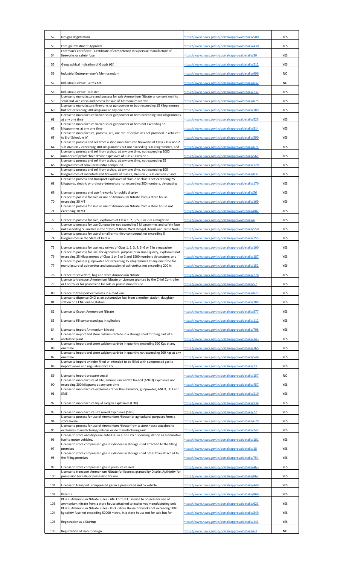| 52  | Designs Registration                                                                                                                                                      | https://www.nsws.gov.in/portal/approvaldetails/500 | YES       |
|-----|---------------------------------------------------------------------------------------------------------------------------------------------------------------------------|----------------------------------------------------|-----------|
| 53  | Foreign Investment Approval                                                                                                                                               | https://www.nsws.gov.in/portal/approvaldetails/430 | YES       |
| 54  | Foreman's Certificate - Certificate of competency to supervise manufacture of<br>fireworks or safety fuse                                                                 | https://www.nsws.gov.in/portal/approvaldetails/30  | YES       |
|     |                                                                                                                                                                           |                                                    |           |
| 55  | Geographical Indication of Goods (GI)                                                                                                                                     | https://www.nsws.gov.in/portal/approvaldetails/212 | YES       |
| 56  | Industrial Entrepreneuer's Memorandum                                                                                                                                     | https://www.nsws.gov.in/portal/approvaldetails/696 | NO.       |
| 57  | Industrial License - Arms Act                                                                                                                                             | https://www.nsws.gov.in/portal/approvaldetails/632 | <b>NO</b> |
| 58  | Industrial License - IDR Act<br>License to manufacture and possess for sale Ammonium Nitrate or convert melt to                                                           | https://www.nsws.gov.in/portal/approvaldetails/737 | YES       |
| 59  | solid and vice versa and posess for sale of Ammonium Nitrate                                                                                                              | https://www.nsws.gov.in/portal/approvaldetails/875 | YES       |
| 60  | License to manufacture fireworks or gunpowder or both exceeding 15 kilogrammes<br>but not exceeding 500 kilograms at any one time                                         | https://www.nsws.gov.in/portal/approvaldetails/389 | YES       |
| 61  | License to manufacture fireworks or gunpowder or both exceeding 500 kilogrammes<br>at any one time                                                                        | https://www.nsws.gov.in/portal/approvaldetails/525 | YES       |
| 62  | License to manufacture fireworks or gunpowder or both not exceeding 15                                                                                                    | https://www.nsws.gov.in/portal/approvaldetails/814 | YES       |
|     | kilogrammes at any one time<br>License to manufacture, possess, sell, use etc. of explosives not provided in articles 1                                                   |                                                    |           |
| 63  | to 8 of Schedule IV<br>License to possess and sell from a shop manufactured fireworks of Class 7 Division 2                                                               | https://www.nsws.gov.in/portal/approvaldetails/390 | YES       |
| 64  | sub-division 2 exceeding 100 kilogrammes but not exceeding 300 kilogrammes, and<br>License to possess and sell from a shop, at any one time, not exceeding 2000           | https://www.nsws.gov.in/portal/approvaldetails/671 | YES       |
| 65  | numbers of pyrotechnic device explosives of Class 6 Division 1<br>License to possess and sell from a shop, at any one time, not exceeding 25                              | https://www.nsws.gov.in/portal/approvaldetails/561 | YES       |
| 66  | kilogrammes of small-arms nitro compound                                                                                                                                  | https://www.nsws.gov.in/portal/approvaldetails/320 | YES       |
| 67  | License to possess and sell from a shop, at any one time, not exceeding 100<br>kilogrammes of manufactured fireworks of Class 7, Division 2, sub-division 2; and          | https://www.nsws.gov.in/portal/approvaldetails/837 | YES       |
| 68  | License to possess and transport explosives of class 2 or class 3 not exceeding 25<br>kilograms, electric or ordinary detonators not exceeding 200 numbers, detonating    | https://www.nsws.gov.in/portal/approvaldetails/170 | YES       |
| 69  | License to possess and use fireworks for public display                                                                                                                   | https://www.nsws.gov.in/portal/approvaldetails/56  | YES       |
|     | Licence to possess for sale or use of Ammonium Nitrate from a store house                                                                                                 |                                                    |           |
| 70  | exceeding 30 MT<br>License to possess for sale or use of Ammonium Nitrate from a store house not                                                                          | https://www.nsws.gov.in/portal/approvaldetails/169 | YES       |
| 71  | exceeding 30 MT                                                                                                                                                           | https://www.nsws.gov.in/portal/approvaldetails/802 | YES       |
| 72  | Licence to possess for sale, explosives of Class 1, 2, 3, 5, 6 or 7 in a magazine<br>Licence to possess for use Gunpowder not exceeding 5 kilogrammes and safety fuse     | https://www.nsws.gov.in/portal/approvaldetails/6   | YES       |
| 73  | not exceeding 50 metres in the States of Bihar, West Bengal, Kerala and Tamil Nadu                                                                                        | https://www.nsws.gov.in/portal/approvaldetails/550 | YES       |
| 74  | Licence to possess for use of small-arms nitro-compound not exceeding 5<br>kilogrammes in the State of Kerala.                                                            | https://www.nsws.gov.in/portal/approvaldetails/755 | YES       |
| 75  | Licence to possess for use, explosives of Class 1, 2, 3, 4, 5, 6 or 7 in a magazine                                                                                       | https://www.nsws.gov.in/portal/approvaldetails/100 | YES       |
| 76  | Licence to possess for use, for agricultural purpose or in small quarry, explosives not<br>exceeding 25 kilogrammes of Class 1 or 2 or 3 and 1500 numbers detonators; and | https://www.nsws.gov.in/portal/approvaldetails/187 | YES       |
|     | Licence to possess gunpowder not exceeding 15 kilogrammes at any one time for                                                                                             |                                                    |           |
| 77  | manufacture of adirverttus and possession of adirverttus not exceeding 200 in                                                                                             | https://www.nsws.gov.in/portal/approvaldetails/152 | YES       |
| 78  | Licence to stevedore, bag and store Ammonium Nitrate<br>Licence to transport Ammonium Nitrate or Licences granted by the Chief Controller                                 | https://www.nsws.gov.in/portal/approvaldetails/276 | YES       |
| 79  | or Controller for possession for sale or posssession for use.                                                                                                             | https://www.nsws.gov.in/portal/approvaldetails/57  | YES       |
| 80  | Licence to transport explosives in a road van.<br>License to dispense CNG as an automotive fuel from a mother station, daughter                                           | https://www.nsws.gov.in/portal/approvaldetails/827 | YES       |
| 81  | station or a CNG online station.                                                                                                                                          | https://www.nsws.gov.in/portal/approvaldetails/189 | YES       |
| 82  | Licence to Export Ammonium Nitrate                                                                                                                                        | https://www.nsws.gov.in/portal/approvaldetails/877 | YES       |
| 83  | License to fill compressed gas in cylinders                                                                                                                               | https://www.nsws.gov.in/portal/approvaldetails/112 | YES       |
| 84  | License to import Ammonium Nitrate                                                                                                                                        | https://www.nsws.gov.in/portal/approvaldetails/708 | YES       |
|     | License to import and store calcium carbide in a storage shed forming part of a                                                                                           | https://www.nsws.gov.in/portal/approvaldetails/343 |           |
| 85  | acetylene plant<br>License to import and store calcium carbide in quantity exceeding 500 Kgs at any                                                                       |                                                    | YES       |
| 86  | one time<br>License to import and store calcium carbide in quantity not exceeding 500 Kgs at any                                                                          | https://www.nsws.gov.in/portal/approvaldetails/365 | YES       |
| 87  | one time<br>Licence to import cylinder filled or intended to be filled with compressed gas to                                                                             | https://www.nsws.gov.in/portal/approvaldetails/546 | YES       |
| 88  | import valves and regulators for LPG                                                                                                                                      | https://www.nsws.gov.in/portal/approvaldetails/23  | YES       |
| 89  | License to import pressure vessel                                                                                                                                         | https://www.nsws.gov.in/portal/approvaldetails/157 | NO        |
| 90  | License to manufacture at site, ammonium nitrate fuel oil (ANFO) explosives not<br>exceeding 200 kilograms at any one time                                                | https://www.nsws.gov.in/portal/approvaldetails/457 | YES       |
| 91  | License to manufacture explosives other than firework, gunpowder, ANFO, LOX and<br>SME                                                                                    | https://www.nsws.gov.in/portal/approvaldetails/219 | YES       |
| 92  | License to manufacture liquid oxygen explosives (LOX)                                                                                                                     | https://www.nsws.gov.in/portal/approvaldetails/134 | YES       |
| 93  | License to manufacture site mixed explosives (SME)                                                                                                                        | https://www.nsws.gov.in/portal/approvaldetails/27  | YES       |
|     | License to possess for use of Ammonium Nitrate for agricultural purposes from a                                                                                           |                                                    |           |
| 94  | store house<br>License to possess for use of Ammonium Nitrate from a store house attached to                                                                              | https://www.nsws.gov.in/portal/approvaldetails/679 | YES       |
| 95  | explosives manufacturing/ nitrous oxide manufacturing unit<br>License to store and dispense auto-LPG in auto-LPG dispensing station as automotive                         | https://www.nsws.gov.in/portal/approvaldetails/242 | YES       |
| 96  | fuel to motor vehicles.<br>License to store compressed gas in cylinders in storage shed attached to the filling                                                           | https://www.nsws.gov.in/portal/approvaldetails/181 | YES       |
| 97  | premises<br>License to store compressed gas in cylinders in storage shed other than attached to                                                                           | https://www.nsws.gov.in/portal/approvaldetails/18  | YES       |
| 98  | the filling premises                                                                                                                                                      | https://www.nsws.gov.in/portal/approvaldetails/754 | YES       |
| 99  | License to store compressed gas in pressure vessels                                                                                                                       | https://www.nsws.gov.in/portal/approvaldetails/463 | YES       |
| 100 | License to transport Ammonium Nitrate for licences granted by District Authority for<br>possession for sale or possession for use                                         | https://www.nsws.gov.in/portal/approvaldetails/862 | YES       |
| 101 | License to transport compressed gas in a pressure vessel by vehicle                                                                                                       | https://www.nsws.gov.in/portal/approvaldetails/449 | YES       |
|     |                                                                                                                                                                           |                                                    |           |
| 102 | Patents<br>PESO - Ammonium Nitrate Rules - AN- Form P3: Licence to possess for use of                                                                                     | https://www.nsws.gov.in/portal/approvaldetails/869 | YES       |
| 103 | ammonium nitrate from a store house attached to explosives manufacturing unit<br>PESO - Ammonium Nitrate Rules - LE-3 - Store House fireworks not exceedng 5000           | https://www.nsws.gov.in/portal/approvaldetails/623 | YES       |
| 104 | kg safety fuse not exceeding 50000 metre, in a store house not for sale but for                                                                                           | https://www.nsws.gov.in/portal/approvaldetails/849 | YES       |
| 105 | Registration as a Startup                                                                                                                                                 | https://www.nsws.gov.in/portal/approvaldetails/143 | YES       |
| 106 | Registration of layout-design                                                                                                                                             | https://www.nsws.gov.in/portal/approvaldetails/63  | NO.       |